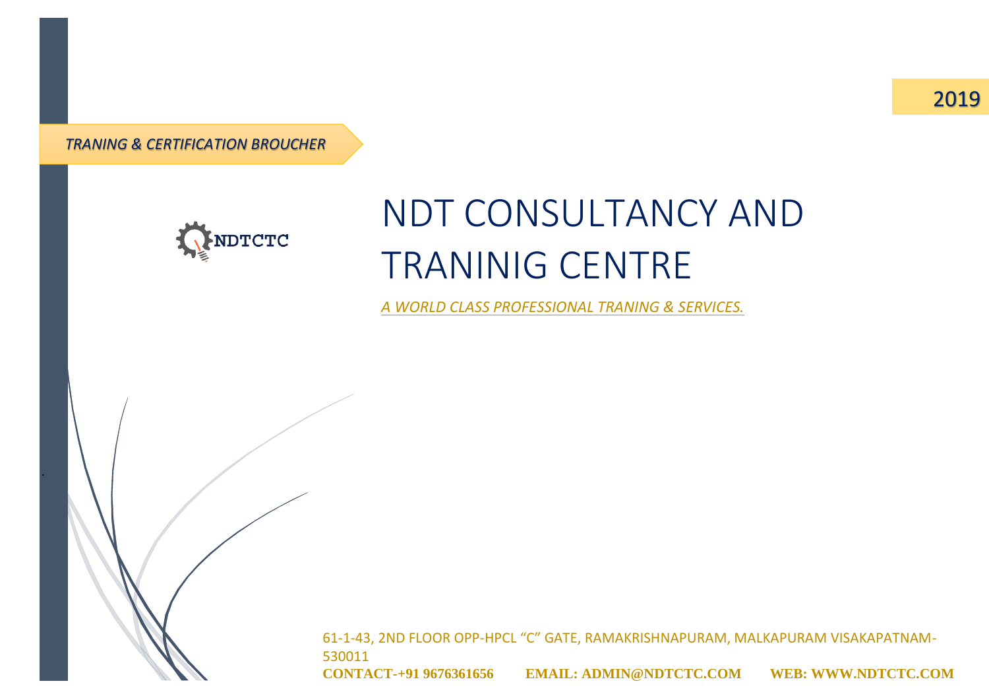2019

*TRANING & CERTIFICATION BROUCHER*

.



# NDT CONSULTANCY AND TRANINIG CENTRE

*A WORLD CLASS PROFESSIONAL TRANING & SERVICES.*

61-1-43, 2ND FLOOR OPP-HPCL "C" GATE, RAMAKRISHNAPURAM, MALKAPURAM VISAKAPATNAM-530011

**CONTACT-+91 9676361656 EMAIL: ADMIN@NDTCTC.COM WEB: WWW.NDTCTC.COM**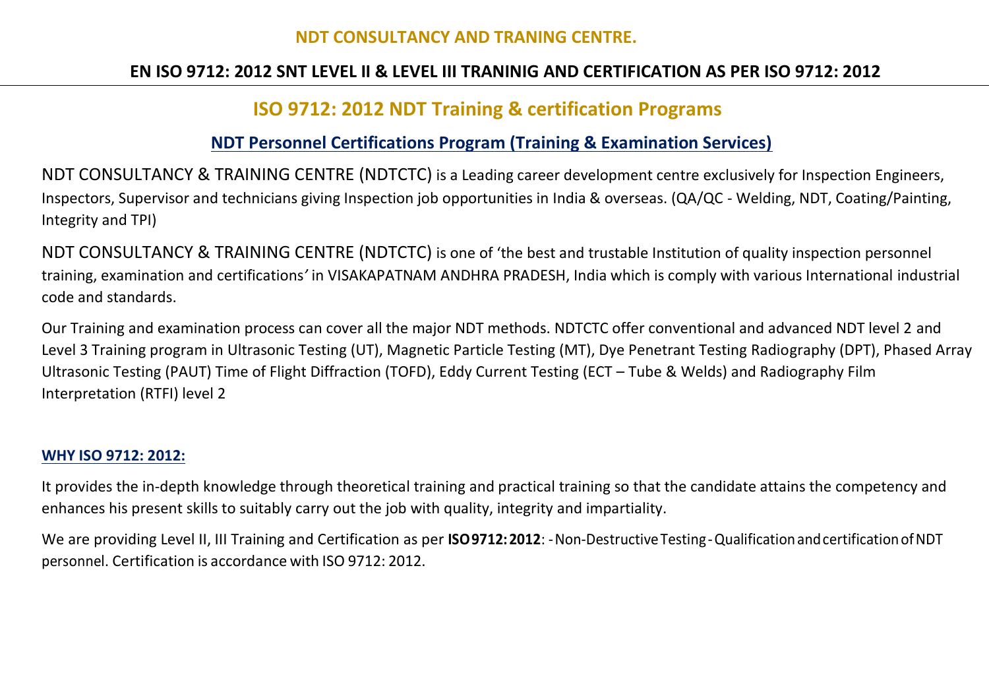#### **NDT CONSULTANCY AND TRANING CENTRE.**

### **EN ISO 9712: 2012 SNT LEVEL II & LEVEL III TRANINIG AND CERTIFICATION AS PER ISO 9712: 2012**

## **ISO 9712: 2012 NDT Training & certification Programs**

#### **NDT Personnel Certifications Program (Training & Examination Services)**

NDT CONSULTANCY & TRAINING CENTRE (NDTCTC) is a Leading career development centre exclusively for Inspection Engineers, Inspectors, Supervisor and technicians giving Inspection job opportunities in India & overseas. (QA/QC - Welding, NDT, Coating/Painting, Integrity and TPI)

NDT CONSULTANCY & TRAINING CENTRE (NDTCTC) is one of 'the best and trustable Institution of quality inspection personnel training, examination and certifications*'* in VISAKAPATNAM ANDHRA PRADESH, India which is comply with various International industrial code and standards.

Our Training and examination process can cover all the major NDT methods. NDTCTC offer conventional and advanced NDT level 2 and Level 3 Training program in Ultrasonic Testing (UT), Magnetic Particle Testing (MT), Dye Penetrant Testing Radiography (DPT), Phased Array Ultrasonic Testing (PAUT) Time of Flight Diffraction (TOFD), Eddy Current Testing (ECT – Tube & Welds) and Radiography Film Interpretation (RTFI) level 2

#### **WHY ISO 9712: 2012:**

It provides the in-depth knowledge through theoretical training and practical training so that the candidate attains the competency and enhances his present skills to suitably carry out the job with quality, integrity and impartiality.

We are providing Level II, III Training and Certification as per **ISO9712:2012**: -Non-DestructiveTesting-QualificationandcertificationofNDT personnel. Certification is accordance with ISO 9712: 2012.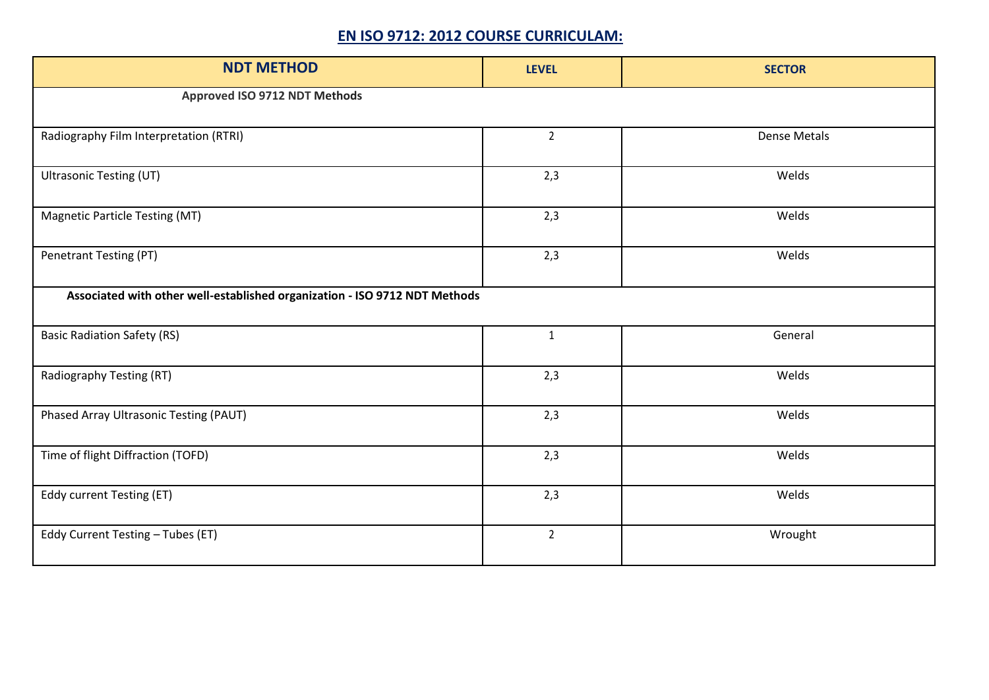#### **EN ISO 9712: 2012 COURSE CURRICULAM:**

| <b>NDT METHOD</b>                                                          | <b>LEVEL</b>   | <b>SECTOR</b>       |  |
|----------------------------------------------------------------------------|----------------|---------------------|--|
| Approved ISO 9712 NDT Methods                                              |                |                     |  |
| Radiography Film Interpretation (RTRI)                                     | $\overline{2}$ | <b>Dense Metals</b> |  |
| <b>Ultrasonic Testing (UT)</b>                                             | 2,3            | Welds               |  |
| <b>Magnetic Particle Testing (MT)</b>                                      | 2,3            | Welds               |  |
| Penetrant Testing (PT)                                                     | 2,3            | Welds               |  |
| Associated with other well-established organization - ISO 9712 NDT Methods |                |                     |  |
| <b>Basic Radiation Safety (RS)</b>                                         | $\mathbf{1}$   | General             |  |
| Radiography Testing (RT)                                                   | 2,3            | Welds               |  |
| Phased Array Ultrasonic Testing (PAUT)                                     | 2,3            | Welds               |  |
| Time of flight Diffraction (TOFD)                                          | 2,3            | Welds               |  |
| Eddy current Testing (ET)                                                  | 2,3            | Welds               |  |
| Eddy Current Testing - Tubes (ET)                                          | $\overline{2}$ | Wrought             |  |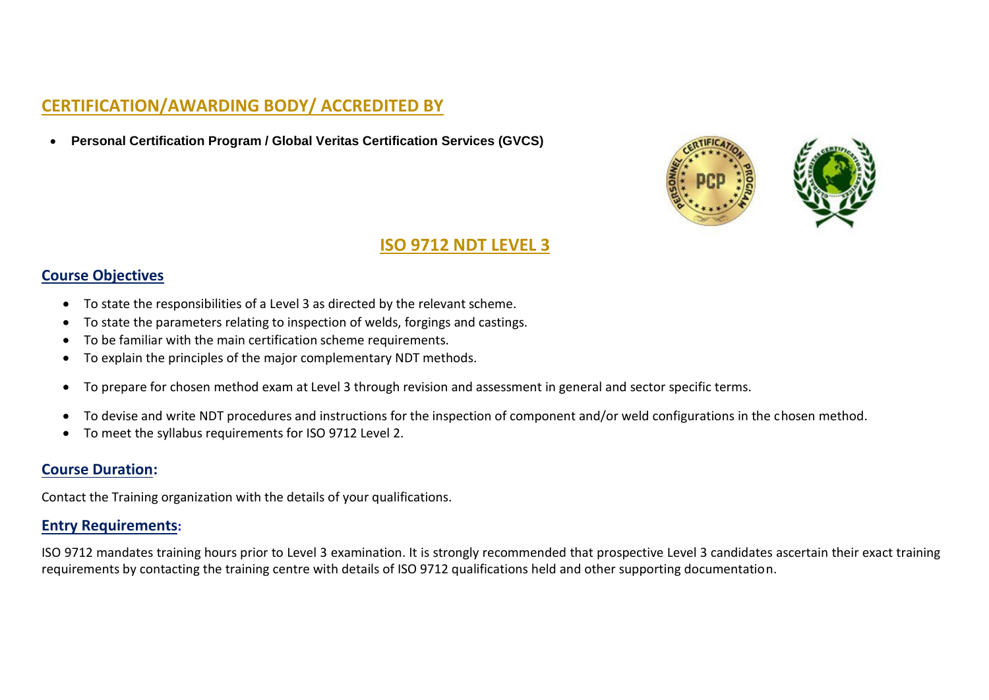### **CERTIFICATION/AWARDING BODY/ ACCREDITED BY**

• **Personal Certification Program / Global Veritas Certification Services (GVCS)**



#### **ISO 9712 NDT LEVEL 3**

#### **Course Objectives**

- To state the responsibilities of a Level 3 as directed by the relevant scheme.
- To state the parameters relating to inspection of welds, forgings and castings.
- To be familiar with the main certification scheme requirements.
- To explain the principles of the major complementary NDT methods.
- To prepare for chosen method exam at Level 3 through revision and assessment in general and sector specific terms.
- To devise and write NDT procedures and instructions for the inspection of component and/or weld configurations in the chosen method.
- To meet the syllabus requirements for ISO 9712 Level 2.

#### **Course Duration:**

Contact the Training organization with the details of your qualifications.

#### **Entry Requirements:**

ISO 9712 mandates training hours prior to Level 3 examination. It is strongly recommended that prospective Level 3 candidates ascertain their exact training requirements by contacting the training centre with details of ISO 9712 qualifications held and other supporting documentation.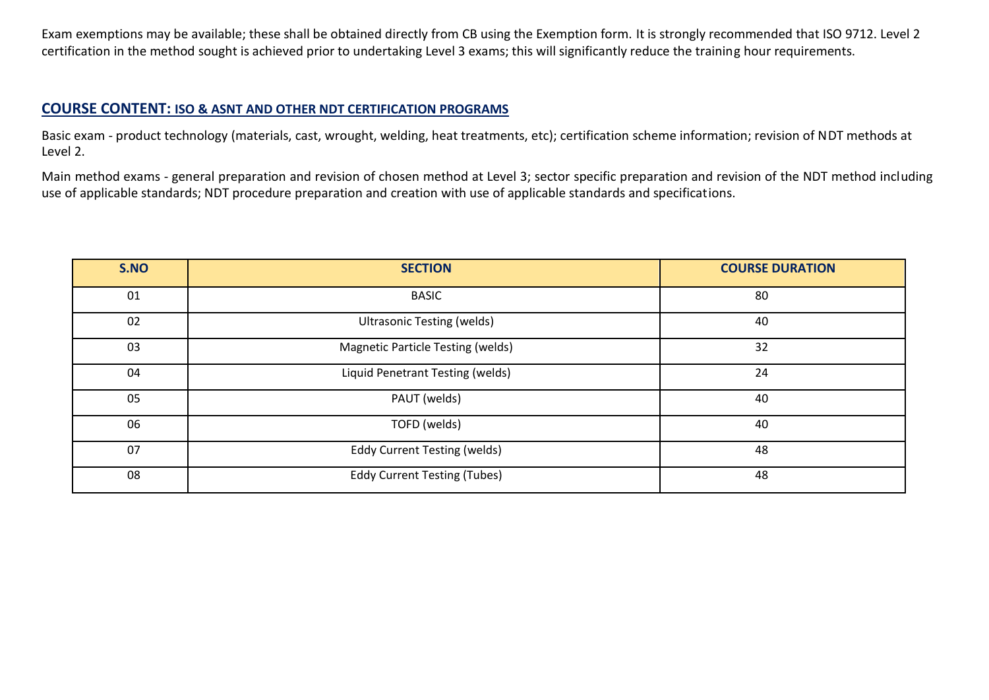Exam exemptions may be available; these shall be obtained directly from CB using the Exemption form. It is strongly recommended that ISO 9712. Level 2 certification in the method sought is achieved prior to undertaking Level 3 exams; this will significantly reduce the training hour requirements.

#### **COURSE CONTENT: ISO & ASNT AND OTHER NDT CERTIFICATION PROGRAMS**

Basic exam - product technology (materials, cast, wrought, welding, heat treatments, etc); certification scheme information; revision of NDT methods at Level 2.

Main method exams - general preparation and revision of chosen method at Level 3; sector specific preparation and revision of the NDT method including use of applicable standards; NDT procedure preparation and creation with use of applicable standards and specifications.

| S.NO | <b>SECTION</b>                      | <b>COURSE DURATION</b> |
|------|-------------------------------------|------------------------|
| 01   | <b>BASIC</b>                        | 80                     |
| 02   | <b>Ultrasonic Testing (welds)</b>   | 40                     |
| 03   | Magnetic Particle Testing (welds)   | 32                     |
| 04   | Liquid Penetrant Testing (welds)    | 24                     |
| 05   | PAUT (welds)                        | 40                     |
| 06   | TOFD (welds)                        | 40                     |
| 07   | <b>Eddy Current Testing (welds)</b> | 48                     |
| 08   | <b>Eddy Current Testing (Tubes)</b> | 48                     |